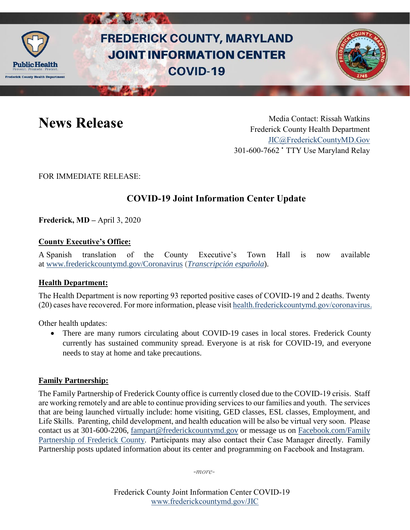

# **FREDERICK COUNTY, MARYLAND JOINT INFORMATION CENTER COVID-19**



News Release Media Contact: Rissah Watkins Frederick County Health Department [JIC@FrederickCountyMD.Gov](mailto:JIC@FrederickCountyMD.Gov) 301-600-7662 • TTY Use Maryland Relay

FOR IMMEDIATE RELEASE:

## **COVID-19 Joint Information Center Update**

**Frederick, MD –** April 3, 2020

### **County Executive's Office:**

A Spanish translation of the County Executive's Town Hall is now available at [www.frederickcountymd.gov/Coronavirus](https://www.frederickcountymd.gov/8071/Coronavirus---COVID-19-Resources) (*[Transcripción española](https://www.frederickcountymd.gov/DocumentCenter/View/325562/Spanish-Transcript-of-Coronavirus-Town-Hall-33120)*).

### **Health Department:**

The Health Department is now reporting 93 reported positive cases of COVID-19 and 2 deaths. Twenty (20) cases have recovered. For more information, please visit [health.frederickcountymd.gov/coronavirus.](https://health.frederickcountymd.gov/614/Novel-Coronavirus-COVID-19)

Other health updates:

• There are many rumors circulating about COVID-19 cases in local stores. Frederick County currently has sustained community spread. Everyone is at risk for COVID-19, and everyone needs to stay at home and take precautions.

#### **Family Partnership:**

The Family Partnership of Frederick County office is currently closed due to the COVID-19 crisis.  Staff are working remotely and are able to continue providing services to our families and youth.  The services that are being launched virtually include: home visiting, GED classes, ESL classes, Employment, and Life Skills.  Parenting, child development, and health education will be also be virtual very soon.  Please contact us at 301-600-2206, [fampart@frederickcountymd.gov](mailto:fampart@frederickcountymd.gov) or message us on [Facebook.com/Family](https://www.facebook.com/Family-Partnership-of-Frederick-County-120987521328676/)  [Partnership of Frederick County.](https://www.facebook.com/Family-Partnership-of-Frederick-County-120987521328676/)  Participants may also contact their Case Manager directly.  Family Partnership posts updated information about its center and programming on Facebook and Instagram. 

-*more-*

Frederick County Joint Information Center COVID-19 [www.frederickcountymd.gov/JIC](https://frederickcountymd.gov/JIC)